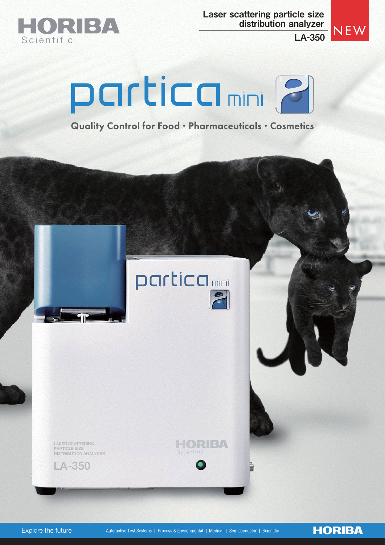

Laser scattering particle size distribution analyzer

LA-350



**HORIBA** 



Quality Control for Food . Pharmaceuticals . Cosmetics

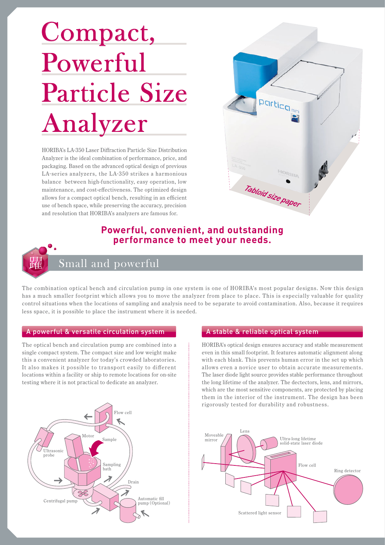# Analyzer Compact, Powerful Particle Size

HORIBA's LA-350 Laser Diffraction Particle Size Distribution Analyzer is the ideal combination of performance, price, and packaging. Based on the advanced optical design of previous LA-series analyzers, the LA-350 strikes a harmonious balance between high-functionality, easy operation, low maintenance, and cost-effectiveness. The optimized design allows for a compact optical bench, resulting in an efficient use of bench space, while preserving the accuracy, precision and resolution that HORIBA's analyzers are famous for.



# **Powerful, convenient, and outstanding performance to meet your needs.**

# Small and powerful

The combination optical bench and circulation pump in one system is one of HORIBA's most popular designs. Now this design has a much smaller footprint which allows you to move the analyzer from place to place. This is especially valuable for quality control situations when the locations of sampling and analysis need to be separate to avoid contamination. Also, because it requires less space, it is possible to place the instrument where it is needed.

## A powerful & versatile circulation system

The optical bench and circulation pump are combined into a single compact system. The compact size and low weight make this a convenient analyzer for today's crowded laboratories. It also makes it possible to transport easily to different locations within a facility or ship to remote locations for on-site testing where it is not practical to dedicate an analyzer.



# A stable & reliable optical system

HORIBA's optical design ensures accuracy and stable measurement even in this small footprint. It features automatic alignment along with each blank. This prevents human error in the set up which allows even a novice user to obtain accurate measurements. The laser diode light source provides stable performance throughout the long lifetime of the analyzer. The dectectors, lens, and mirrors, which are the most sensitive components, are protected by placing them in the interior of the instrument. The design has been rigorously tested for durability and robustness.

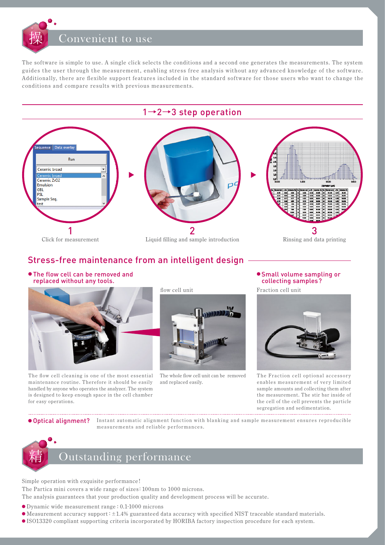# Convenient to use

The software is simple to use. A single click selects the conditions and a second one generates the measurements. The system guides the user through the measurement, enabling stress free analysis without any advanced knowledge of the software. Additionally, there are flexible support features included in the standard software for those users who want to change the conditions and compare results with previous measurements.



# Stress-free maintenance from an intelligent design

● The flow cell can be removed and replaced without any tools.



The flow cell cleaning is one of the most essential maintenance routine. Therefore it should be easily handled by anyone who operates the analyzer. The system is designed to keep enough space in the cell chamber for easy operations.



The whole flow cell unit can be removed and replaced easily.

# ● Small volume sampling or collecting samples?

Fraction cell unit



The Fraction cell optional accessory enables measurement of very limited sample amounts and collecting them after the measurement. The stir bar inside of the cell of the cell prevents the particle segregation and sedimentation.

**Optical alignment?** Instant automatic alignment function with blanking and sample measurement ensures reproducible measurements and reliable performances.



Simple operation with exquisite performance!

The Partica mini covers a wide range of sizes: 100nm to 1000 microns.

The analysis guarantees that your production quality and development process will be accurate.

- Dynamic wide measurement range : 0.1-1000 microns
- Measurement accuracy support :±1.4% guaranteed data accuracy with specified NIST traceable standard materials.
- ISO13320 compliant supporting criteria incorporated by HORIBA factory inspection procedure for each system.